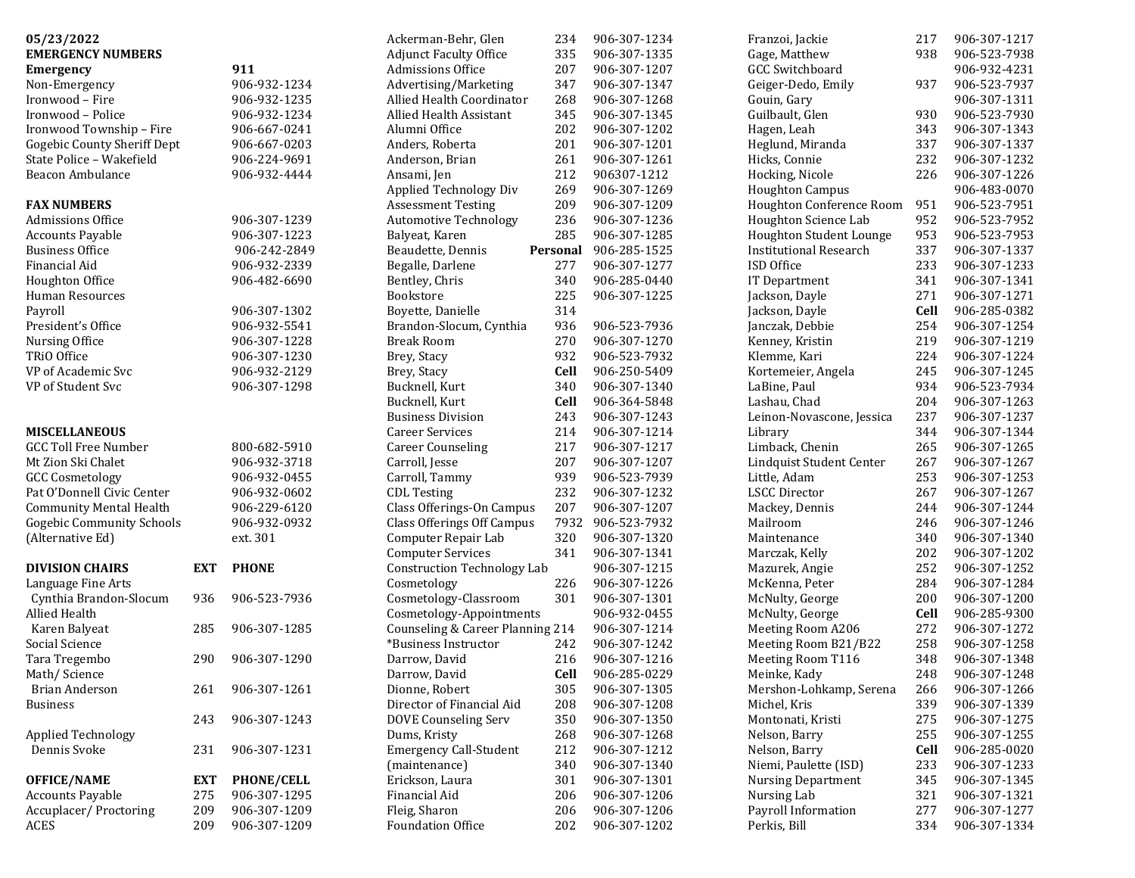| 05/23/2022                         |            |                   | Ackerman-Behr, Glen                | 234         | 906-307-1234 | Franzoi, Jackie               | 217  | 906-307-1217 |
|------------------------------------|------------|-------------------|------------------------------------|-------------|--------------|-------------------------------|------|--------------|
| <b>EMERGENCY NUMBERS</b>           |            |                   | <b>Adjunct Faculty Office</b>      | 335         | 906-307-1335 | Gage, Matthew                 | 938  | 906-523-7938 |
| <b>Emergency</b>                   |            | 911               | Admissions Office                  | 207         | 906-307-1207 | <b>GCC Switchboard</b>        |      | 906-932-4231 |
| Non-Emergency                      |            | 906-932-1234      | Advertising/Marketing              | 347         | 906-307-1347 | Geiger-Dedo, Emily            | 937  | 906-523-7937 |
| Ironwood - Fire                    |            | 906-932-1235      | Allied Health Coordinator          | 268         | 906-307-1268 | Gouin, Gary                   |      | 906-307-1311 |
| Ironwood - Police                  |            | 906-932-1234      | Allied Health Assistant            | 345         | 906-307-1345 | Guilbault, Glen               | 930  | 906-523-7930 |
| Ironwood Township - Fire           |            | 906-667-0241      | Alumni Office                      | 202         | 906-307-1202 | Hagen, Leah                   | 343  | 906-307-1343 |
| <b>Gogebic County Sheriff Dept</b> |            | 906-667-0203      | Anders, Roberta                    | 201         | 906-307-1201 | Heglund, Miranda              | 337  | 906-307-1337 |
| State Police - Wakefield           |            | 906-224-9691      | Anderson, Brian                    | 261         | 906-307-1261 | Hicks, Connie                 | 232  | 906-307-1232 |
| Beacon Ambulance                   |            | 906-932-4444      | Ansami, Jen                        | 212         | 906307-1212  | Hocking, Nicole               | 226  | 906-307-1226 |
|                                    |            |                   | Applied Technology Div             | 269         | 906-307-1269 | <b>Houghton Campus</b>        |      | 906-483-0070 |
| <b>FAX NUMBERS</b>                 |            |                   | <b>Assessment Testing</b>          | 209         | 906-307-1209 | Houghton Conference Room      | 951  | 906-523-7951 |
| <b>Admissions Office</b>           |            | 906-307-1239      | <b>Automotive Technology</b>       | 236         | 906-307-1236 | Houghton Science Lab          | 952  | 906-523-7952 |
| <b>Accounts Payable</b>            |            | 906-307-1223      | Balyeat, Karen                     | 285         | 906-307-1285 | Houghton Student Lounge       | 953  | 906-523-7953 |
| <b>Business Office</b>             |            | 906-242-2849      | Beaudette, Dennis                  | Personal    | 906-285-1525 | <b>Institutional Research</b> | 337  | 906-307-1337 |
| Financial Aid                      |            | 906-932-2339      | Begalle, Darlene                   | 277         | 906-307-1277 | ISD Office                    | 233  | 906-307-1233 |
|                                    |            |                   |                                    | 340         | 906-285-0440 |                               | 341  | 906-307-1341 |
| Houghton Office                    |            | 906-482-6690      | Bentley, Chris                     |             |              | IT Department                 |      |              |
| Human Resources                    |            |                   | Bookstore                          | 225         | 906-307-1225 | Jackson, Dayle                | 271  | 906-307-1271 |
| Payroll                            |            | 906-307-1302      | Boyette, Danielle                  | 314         |              | Jackson, Dayle                | Cell | 906-285-0382 |
| President's Office                 |            | 906-932-5541      | Brandon-Slocum, Cynthia            | 936         | 906-523-7936 | Janczak, Debbie               | 254  | 906-307-1254 |
| Nursing Office                     |            | 906-307-1228      | <b>Break Room</b>                  | 270         | 906-307-1270 | Kenney, Kristin               | 219  | 906-307-1219 |
| TRiO Office                        |            | 906-307-1230      | Brey, Stacy                        | 932         | 906-523-7932 | Klemme, Kari                  | 224  | 906-307-1224 |
| VP of Academic Svc                 |            | 906-932-2129      | Brey, Stacy                        | <b>Cell</b> | 906-250-5409 | Kortemeier, Angela            | 245  | 906-307-1245 |
| VP of Student Svc                  |            | 906-307-1298      | Bucknell, Kurt                     | 340         | 906-307-1340 | LaBine, Paul                  | 934  | 906-523-7934 |
|                                    |            |                   | Bucknell, Kurt                     | Cell        | 906-364-5848 | Lashau, Chad                  | 204  | 906-307-1263 |
|                                    |            |                   | <b>Business Division</b>           | 243         | 906-307-1243 | Leinon-Novascone, Jessica     | 237  | 906-307-1237 |
| <b>MISCELLANEOUS</b>               |            |                   | <b>Career Services</b>             | 214         | 906-307-1214 | Library                       | 344  | 906-307-1344 |
| <b>GCC Toll Free Number</b>        |            | 800-682-5910      | <b>Career Counseling</b>           | 217         | 906-307-1217 | Limback, Chenin               | 265  | 906-307-1265 |
| Mt Zion Ski Chalet                 |            | 906-932-3718      | Carroll, Jesse                     | 207         | 906-307-1207 | Lindquist Student Center      | 267  | 906-307-1267 |
| <b>GCC Cosmetology</b>             |            | 906-932-0455      | Carroll, Tammy                     | 939         | 906-523-7939 | Little, Adam                  | 253  | 906-307-1253 |
| Pat O'Donnell Civic Center         |            | 906-932-0602      | <b>CDL</b> Testing                 | 232         | 906-307-1232 | <b>LSCC Director</b>          | 267  | 906-307-1267 |
| <b>Community Mental Health</b>     |            | 906-229-6120      | Class Offerings-On Campus          | 207         | 906-307-1207 | Mackey, Dennis                | 244  | 906-307-1244 |
| <b>Gogebic Community Schools</b>   |            | 906-932-0932      | Class Offerings Off Campus         | 7932        | 906-523-7932 | Mailroom                      | 246  | 906-307-1246 |
| (Alternative Ed)                   |            | ext. 301          | Computer Repair Lab                | 320         | 906-307-1320 | Maintenance                   | 340  | 906-307-1340 |
|                                    |            |                   | <b>Computer Services</b>           | 341         | 906-307-1341 | Marczak, Kelly                | 202  | 906-307-1202 |
| <b>DIVISION CHAIRS</b>             | <b>EXT</b> | <b>PHONE</b>      | <b>Construction Technology Lab</b> |             | 906-307-1215 | Mazurek, Angie                | 252  | 906-307-1252 |
| Language Fine Arts                 |            |                   | Cosmetology                        | 226         | 906-307-1226 | McKenna, Peter                | 284  | 906-307-1284 |
| Cynthia Brandon-Slocum             | 936        | 906-523-7936      | Cosmetology-Classroom              | 301         | 906-307-1301 | McNulty, George               | 200  | 906-307-1200 |
| Allied Health                      |            |                   | Cosmetology-Appointments           |             | 906-932-0455 | McNulty, George               | Cell | 906-285-9300 |
|                                    | 285        | 906-307-1285      | Counseling & Career Planning 214   |             | 906-307-1214 | Meeting Room A206             | 272  | 906-307-1272 |
| Karen Balyeat                      |            |                   | *Business Instructor               |             |              |                               | 258  |              |
| Social Science                     |            |                   |                                    | 242         | 906-307-1242 | Meeting Room B21/B22          |      | 906-307-1258 |
| Tara Tregembo                      | 290        | 906-307-1290      | Darrow, David                      | 216         | 906-307-1216 | Meeting Room T116             | 348  | 906-307-1348 |
| Math/Science                       |            |                   | Darrow, David                      | Cell        | 906-285-0229 | Meinke, Kady                  | 248  | 906-307-1248 |
| Brian Anderson                     | 261        | 906-307-1261      | Dionne, Robert                     | 305         | 906-307-1305 | Mershon-Lohkamp, Serena       | 266  | 906-307-1266 |
| <b>Business</b>                    |            |                   | Director of Financial Aid          | 208         | 906-307-1208 | Michel, Kris                  | 339  | 906-307-1339 |
|                                    | 243        | 906-307-1243      | <b>DOVE Counseling Serv</b>        | 350         | 906-307-1350 | Montonati, Kristi             | 275  | 906-307-1275 |
| <b>Applied Technology</b>          |            |                   | Dums, Kristy                       | 268         | 906-307-1268 | Nelson, Barry                 | 255  | 906-307-1255 |
| Dennis Svoke                       | 231        | 906-307-1231      | <b>Emergency Call-Student</b>      | 212         | 906-307-1212 | Nelson, Barry                 | Cell | 906-285-0020 |
|                                    |            |                   | (maintenance)                      | 340         | 906-307-1340 | Niemi, Paulette (ISD)         | 233  | 906-307-1233 |
| <b>OFFICE/NAME</b>                 | <b>EXT</b> | <b>PHONE/CELL</b> | Erickson, Laura                    | 301         | 906-307-1301 | <b>Nursing Department</b>     | 345  | 906-307-1345 |
| <b>Accounts Payable</b>            | 275        | 906-307-1295      | Financial Aid                      | 206         | 906-307-1206 | Nursing Lab                   | 321  | 906-307-1321 |
| Accuplacer/Proctoring              | 209        | 906-307-1209      | Fleig, Sharon                      | 206         | 906-307-1206 | Payroll Information           | 277  | 906-307-1277 |
| ACES                               | 209        | 906-307-1209      | Foundation Office                  | 202         | 906-307-1202 | Perkis, Bill                  | 334  | 906-307-1334 |